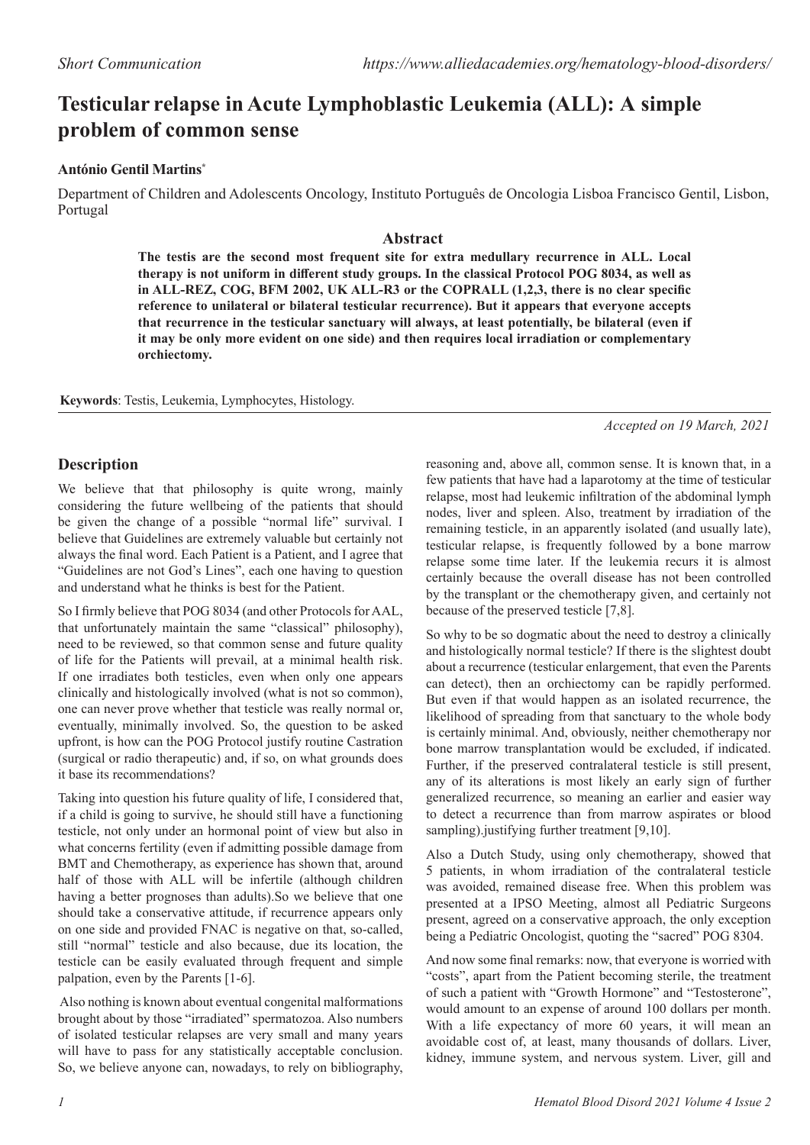# **Testicular relapse in Acute Lymphoblastic Leukemia (ALL): A simple problem of common sense**

# **António Gentil Martins\***

Department of Children and Adolescents Oncology, Instituto Português de Oncologia Lisboa Francisco Gentil, Lisbon, Portugal

### **Abstract**

**The testis are the second most frequent site for extra medullary recurrence in ALL. Local therapy is not uniform in different study groups. In the classical Protocol POG 8034, as well as in ALL-REZ, COG, BFM 2002, UK ALL-R3 or the COPRALL (1,2,3, there is no clear specific reference to unilateral or bilateral testicular recurrence). But it appears that everyone accepts that recurrence in the testicular sanctuary will always, at least potentially, be bilateral (even if it may be only more evident on one side) and then requires local irradiation or complementary orchiectomy.** 

**Keywords**: Testis, Leukemia, Lymphocytes, Histology.

*Accepted on 19 March, 2021*

# **Description**

We believe that that philosophy is quite wrong, mainly considering the future wellbeing of the patients that should be given the change of a possible "normal life" survival. I believe that Guidelines are extremely valuable but certainly not always the final word. Each Patient is a Patient, and I agree that "Guidelines are not God's Lines", each one having to question and understand what he thinks is best for the Patient.

So I firmly believe that POG 8034 (and other Protocols for AAL, that unfortunately maintain the same "classical" philosophy), need to be reviewed, so that common sense and future quality of life for the Patients will prevail, at a minimal health risk. If one irradiates both testicles, even when only one appears clinically and histologically involved (what is not so common), one can never prove whether that testicle was really normal or, eventually, minimally involved. So, the question to be asked upfront, is how can the POG Protocol justify routine Castration (surgical or radio therapeutic) and, if so, on what grounds does it base its recommendations?

Taking into question his future quality of life, I considered that, if a child is going to survive, he should still have a functioning testicle, not only under an hormonal point of view but also in what concerns fertility (even if admitting possible damage from BMT and Chemotherapy, as experience has shown that, around half of those with ALL will be infertile (although children having a better prognoses than adults).So we believe that one should take a conservative attitude, if recurrence appears only on one side and provided FNAC is negative on that, so-called, still "normal" testicle and also because, due its location, the testicle can be easily evaluated through frequent and simple palpation, even by the Parents [1-6].

 Also nothing is known about eventual congenital malformations brought about by those "irradiated" spermatozoa. Also numbers of isolated testicular relapses are very small and many years will have to pass for any statistically acceptable conclusion. So, we believe anyone can, nowadays, to rely on bibliography, reasoning and, above all, common sense. It is known that, in a few patients that have had a laparotomy at the time of testicular relapse, most had leukemic infiltration of the abdominal lymph nodes, liver and spleen. Also, treatment by irradiation of the remaining testicle, in an apparently isolated (and usually late), testicular relapse, is frequently followed by a bone marrow relapse some time later. If the leukemia recurs it is almost certainly because the overall disease has not been controlled by the transplant or the chemotherapy given, and certainly not because of the preserved testicle [7,8].

So why to be so dogmatic about the need to destroy a clinically and histologically normal testicle? If there is the slightest doubt about a recurrence (testicular enlargement, that even the Parents can detect), then an orchiectomy can be rapidly performed. But even if that would happen as an isolated recurrence, the likelihood of spreading from that sanctuary to the whole body is certainly minimal. And, obviously, neither chemotherapy nor bone marrow transplantation would be excluded, if indicated. Further, if the preserved contralateral testicle is still present, any of its alterations is most likely an early sign of further generalized recurrence, so meaning an earlier and easier way to detect a recurrence than from marrow aspirates or blood sampling).justifying further treatment [9,10].

Also a Dutch Study, using only chemotherapy, showed that 5 patients, in whom irradiation of the contralateral testicle was avoided, remained disease free. When this problem was presented at a IPSO Meeting, almost all Pediatric Surgeons present, agreed on a conservative approach, the only exception being a Pediatric Oncologist, quoting the "sacred" POG 8304.

And now some final remarks: now, that everyone is worried with "costs", apart from the Patient becoming sterile, the treatment of such a patient with "Growth Hormone" and "Testosterone", would amount to an expense of around 100 dollars per month. With a life expectancy of more 60 years, it will mean an avoidable cost of, at least, many thousands of dollars. Liver, kidney, immune system, and nervous system. Liver, gill and